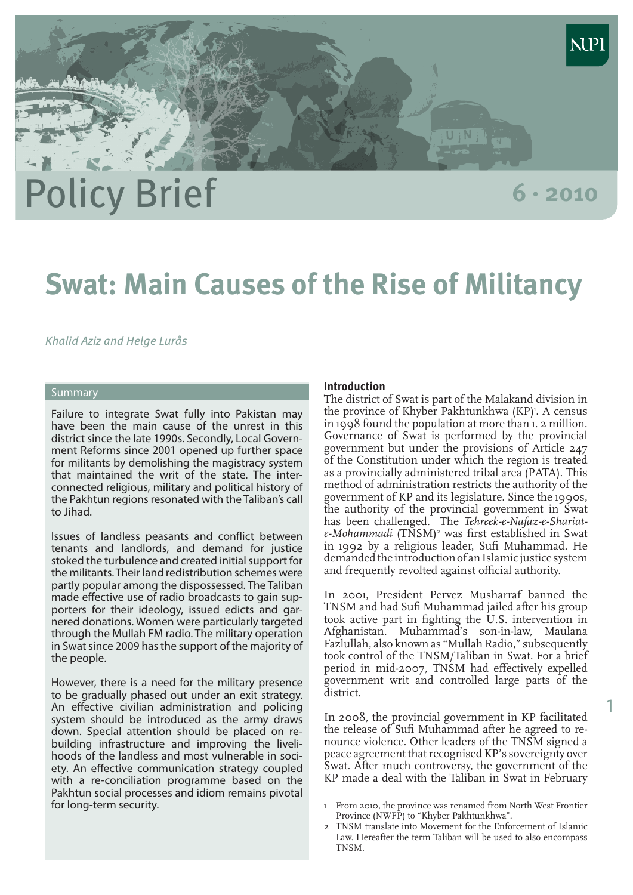

1

# **Swat: Main Causes of the Rise of Militancy**

## *Khalid Aziz and Helge Lurås*

# **Summary**

Failure to integrate Swat fully into Pakistan may have been the main cause of the unrest in this district since the late 1990s. Secondly, Local Government Reforms since 2001 opened up further space for militants by demolishing the magistracy system that maintained the writ of the state. The interconnected religious, military and political history of the Pakhtun regions resonated with the Taliban's call to Jihad.

Issues of landless peasants and conflict between tenants and landlords, and demand for justice stoked the turbulence and created initial support for the militants. Their land redistribution schemes were partly popular among the dispossessed. The Taliban made effective use of radio broadcasts to gain supporters for their ideology, issued edicts and garnered donations. Women were particularly targeted through the Mullah FM radio. The military operation in Swat since 2009 has the support of the majority of the people.

However, there is a need for the military presence to be gradually phased out under an exit strategy. An effective civilian administration and policing system should be introduced as the army draws down. Special attention should be placed on rebuilding infrastructure and improving the livelihoods of the landless and most vulnerable in society. An effective communication strategy coupled with a re-conciliation programme based on the Pakhtun social processes and idiom remains pivotal for long-term security.

#### **Introduction**

The district of Swat is part of the Malakand division in the province of Khyber Pakhtunkhwa (KP)<sup>1</sup>. A census in 1998 found the population at more than 1. 2 million. Governance of Swat is performed by the provincial government but under the provisions of Article 247 of the Constitution under which the region is treated as a provincially administered tribal area (PATA). This method of administration restricts the authority of the government of KP and its legislature. Since the 1990s, the authority of the provincial government in Swat has been challenged. The *Tehreek-e-Nafaz-e-Shariat*e-Mohammadi (TNSM)<sup>2</sup> was first established in Swat in 1992 by a religious leader, Sufi Muhammad. He demanded the introduction of an Islamic justice system and frequently revolted against official authority.

 $U: N$ 

In 2001, President Pervez Musharraf banned the TNSM and had Sufi Muhammad jailed after his group took active part in fighting the U.S. intervention in Afghanistan. Muhammad's son-in-law, Maulana Fazlullah, also known as "Mullah Radio," subsequently took control of the TNSM/Taliban in Swat. For a brief period in mid-2007, TNSM had effectively expelled government writ and controlled large parts of the district.

In 2008, the provincial government in KP facilitated the release of Sufi Muhammad after he agreed to renounce violence. Other leaders of the TNSM signed a peace agreement that recognised KP's sovereignty over Swat. After much controversy, the government of the KP made a deal with the Taliban in Swat in February

<sup>1</sup> From 2010, the province was renamed from North West Frontier Province (NWFP) to "Khyber Pakhtunkhwa".

<sup>2</sup> TNSM translate into Movement for the Enforcement of Islamic Law. Hereafter the term Taliban will be used to also encompass TNSM.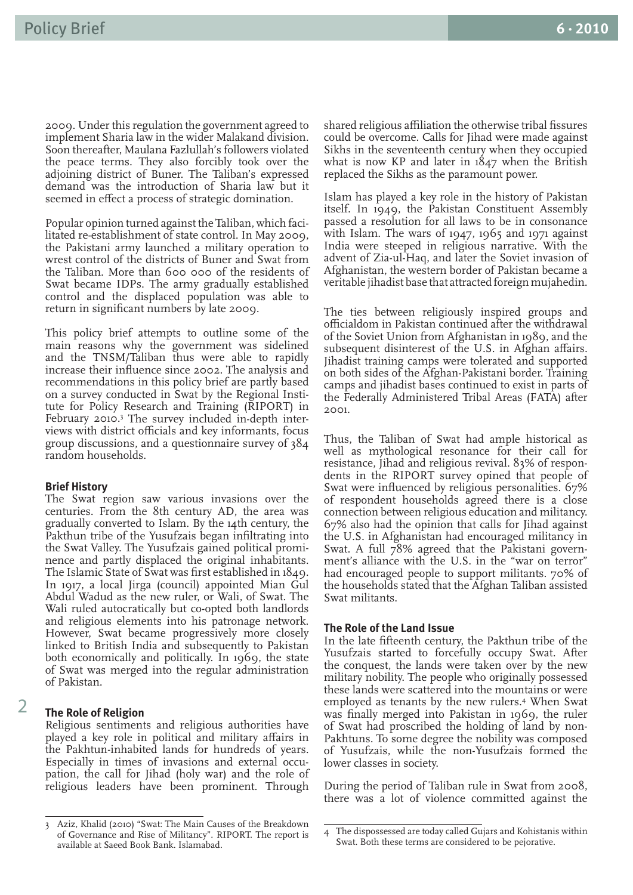2009. Under this regulation the government agreed to implement Sharia law in the wider Malakand division. Soon thereafter, Maulana Fazlullah's followers violated the peace terms. They also forcibly took over the adjoining district of Buner. The Taliban's expressed demand was the introduction of Sharia law but it seemed in effect a process of strategic domination.

Popular opinion turned against the Taliban, which facilitated re-establishment of state control. In May 2009, the Pakistani army launched a military operation to wrest control of the districts of Buner and Swat from the Taliban. More than 600 000 of the residents of Swat became IDPs. The army gradually established control and the displaced population was able to return in significant numbers by late 2009.

This policy brief attempts to outline some of the main reasons why the government was sidelined and the TNSM/Taliban thus were able to rapidly increase their influence since 2002. The analysis and recommendations in this policy brief are partly based on a survey conducted in Swat by the Regional Institute for Policy Research and Training (RIPORT) in February 2010.3 The survey included in-depth interviews with district officials and key informants, focus group discussions, and a questionnaire survey of 384 random households.

#### **Brief History**

The Swat region saw various invasions over the centuries. From the 8th century AD, the area was gradually converted to Islam. By the 14th century, the Pakthun tribe of the Yusufzais began infiltrating into the Swat Valley. The Yusufzais gained political prominence and partly displaced the original inhabitants. The Islamic State of Swat was first established in 1849. In 1917, a local Jirga (council) appointed Mian Gul Abdul Wadud as the new ruler, or Wali, of Swat. The Wali ruled autocratically but co-opted both landlords and religious elements into his patronage network. However, Swat became progressively more closely linked to British India and subsequently to Pakistan both economically and politically. In 1969, the state of Swat was merged into the regular administration of Pakistan.

#### **The Role of Religion**

Religious sentiments and religious authorities have played a key role in political and military affairs in the Pakhtun-inhabited lands for hundreds of years. Especially in times of invasions and external occupation, the call for Jihad (holy war) and the role of religious leaders have been prominent. Through

shared religious affiliation the otherwise tribal fissures could be overcome. Calls for Jihad were made against Sikhs in the seventeenth century when they occupied what is now KP and later in 1847 when the British replaced the Sikhs as the paramount power.

Islam has played a key role in the history of Pakistan itself. In 1949, the Pakistan Constituent Assembly passed a resolution for all laws to be in consonance with Islam. The wars of 1947, 1965 and 1971 against India were steeped in religious narrative. With the advent of Zia-ul-Haq, and later the Soviet invasion of Afghanistan, the western border of Pakistan became a veritable jihadist base that attracted foreign mujahedin.

The ties between religiously inspired groups and officialdom in Pakistan continued after the withdrawal of the Soviet Union from Afghanistan in 1989, and the subsequent disinterest of the U.S. in Afghan affairs. Jihadist training camps were tolerated and supported on both sides of the Afghan-Pakistani border. Training camps and jihadist bases continued to exist in parts of the Federally Administered Tribal Areas (FATA) after 2001.

Thus, the Taliban of Swat had ample historical as well as mythological resonance for their call for resistance, Jihad and religious revival. 83% of respondents in the RIPORT survey opined that people of Swat were influenced by religious personalities. 67% of respondent households agreed there is a close connection between religious education and militancy. 67% also had the opinion that calls for Jihad against the U.S. in Afghanistan had encouraged militancy in Swat. A full 78% agreed that the Pakistani government's alliance with the U.S. in the "war on terror" had encouraged people to support militants. 70% of the households stated that the Afghan Taliban assisted Swat militants.

#### **The Role of the Land Issue**

In the late fifteenth century, the Pakthun tribe of the Yusufzais started to forcefully occupy Swat. After the conquest, the lands were taken over by the new military nobility. The people who originally possessed these lands were scattered into the mountains or were employed as tenants by the new rulers.4 When Swat was finally merged into Pakistan in 1969, the ruler of Swat had proscribed the holding of land by non-Pakhtuns. To some degree the nobility was composed of Yusufzais, while the non-Yusufzais formed the lower classes in society.

During the period of Taliban rule in Swat from 2008, there was a lot of violence committed against the

 $\overline{2}$ 

<sup>3</sup> Aziz, Khalid (2010) "Swat: The Main Causes of the Breakdown of Governance and Rise of Militancy". RIPORT. The report is available at Saeed Book Bank. Islamabad.

<sup>4</sup> The dispossessed are today called Gujars and Kohistanis within Swat. Both these terms are considered to be pejorative.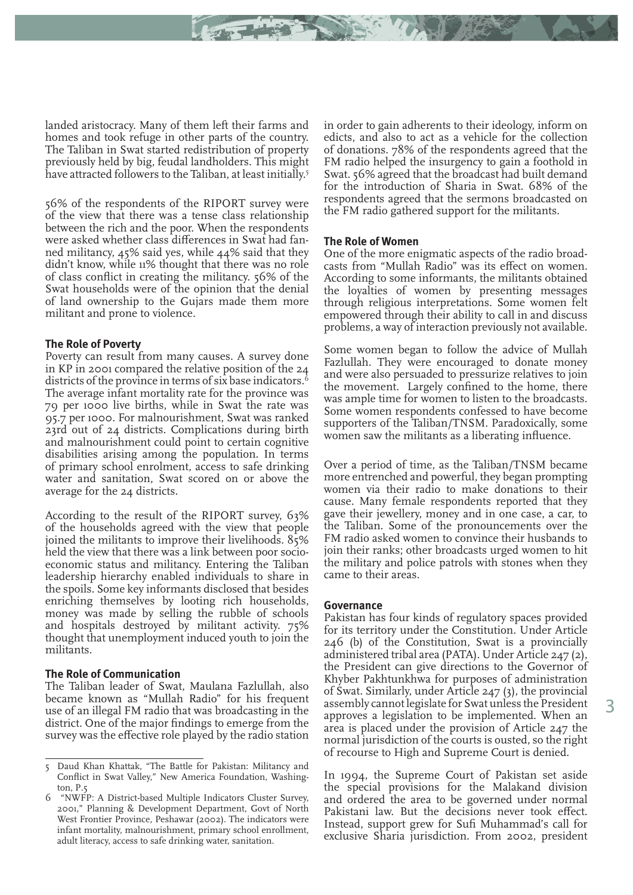landed aristocracy. Many of them left their farms and homes and took refuge in other parts of the country. The Taliban in Swat started redistribution of property previously held by big, feudal landholders. This might have attracted followers to the Taliban, at least initially.<sup>5</sup>

56% of the respondents of the RIPORT survey were of the view that there was a tense class relationship between the rich and the poor. When the respondents were asked whether class differences in Swat had fanned militancy, 45% said yes, while 44% said that they didn't know, while 11% thought that there was no role of class conflict in creating the militancy. 56% of the Swat households were of the opinion that the denial of land ownership to the Gujars made them more militant and prone to violence.

## **The Role of Poverty**

Poverty can result from many causes. A survey done in KP in 2001 compared the relative position of the 24 districts of the province in terms of six base indicators.<sup>6</sup> The average infant mortality rate for the province was 79 per 1000 live births, while in Swat the rate was 95.7 per 1000. For malnourishment, Swat was ranked 23rd out of 24 districts. Complications during birth and malnourishment could point to certain cognitive disabilities arising among the population. In terms of primary school enrolment, access to safe drinking water and sanitation, Swat scored on or above the average for the 24 districts.

According to the result of the RIPORT survey, 63% of the households agreed with the view that people joined the militants to improve their livelihoods. 85% held the view that there was a link between poor socioeconomic status and militancy. Entering the Taliban leadership hierarchy enabled individuals to share in the spoils. Some key informants disclosed that besides enriching themselves by looting rich households, money was made by selling the rubble of schools and hospitals destroyed by militant activity. 75% thought that unemployment induced youth to join the militants.

#### **The Role of Communication**

The Taliban leader of Swat, Maulana Fazlullah, also became known as "Mullah Radio" for his frequent use of an illegal FM radio that was broadcasting in the district. One of the major findings to emerge from the survey was the effective role played by the radio station

in order to gain adherents to their ideology, inform on edicts, and also to act as a vehicle for the collection of donations. 78% of the respondents agreed that the FM radio helped the insurgency to gain a foothold in Swat. 56% agreed that the broadcast had built demand for the introduction of Sharia in Swat. 68% of the respondents agreed that the sermons broadcasted on the FM radio gathered support for the militants.

#### **The Role of Women**

One of the more enigmatic aspects of the radio broadcasts from "Mullah Radio" was its effect on women. According to some informants, the militants obtained the loyalties of women by presenting messages through religious interpretations. Some women felt empowered through their ability to call in and discuss problems, a way of interaction previously not available.

Some women began to follow the advice of Mullah Fazlullah. They were encouraged to donate money and were also persuaded to pressurize relatives to join the movement. Largely confined to the home, there was ample time for women to listen to the broadcasts. Some women respondents confessed to have become supporters of the Taliban/TNSM. Paradoxically, some women saw the militants as a liberating influence.

Over a period of time, as the Taliban/TNSM became more entrenched and powerful, they began prompting women via their radio to make donations to their cause. Many female respondents reported that they gave their jewellery, money and in one case, a car, to the Taliban. Some of the pronouncements over the FM radio asked women to convince their husbands to join their ranks; other broadcasts urged women to hit the military and police patrols with stones when they came to their areas.

#### **Governance**

Pakistan has four kinds of regulatory spaces provided for its territory under the Constitution. Under Article 246 (b) of the Constitution, Swat is a provincially administered tribal area (PATA). Under Article 247 (2), the President can give directions to the Governor of Khyber Pakhtunkhwa for purposes of administration of Swat. Similarly, under Article 247 (3), the provincial assembly cannot legislate for Swat unless the President approves a legislation to be implemented. When an area is placed under the provision of Article 247 the normal jurisdiction of the courts is ousted, so the right of recourse to High and Supreme Court is denied.

In 1994, the Supreme Court of Pakistan set aside the special provisions for the Malakand division and ordered the area to be governed under normal Pakistani law. But the decisions never took effect. Instead, support grew for Sufi Muhammad's call for exclusive Sharia jurisdiction. From 2002, president

<sup>5</sup> Daud Khan Khattak, "The Battle for Pakistan: Militancy and Conflict in Swat Valley," New America Foundation, Washington, P.5

<sup>6 &</sup>quot;NWFP: A District-based Multiple Indicators Cluster Survey, 2001," Planning & Development Department, Govt of North West Frontier Province, Peshawar (2002). The indicators were infant mortality, malnourishment, primary school enrollment, adult literacy, access to safe drinking water, sanitation.